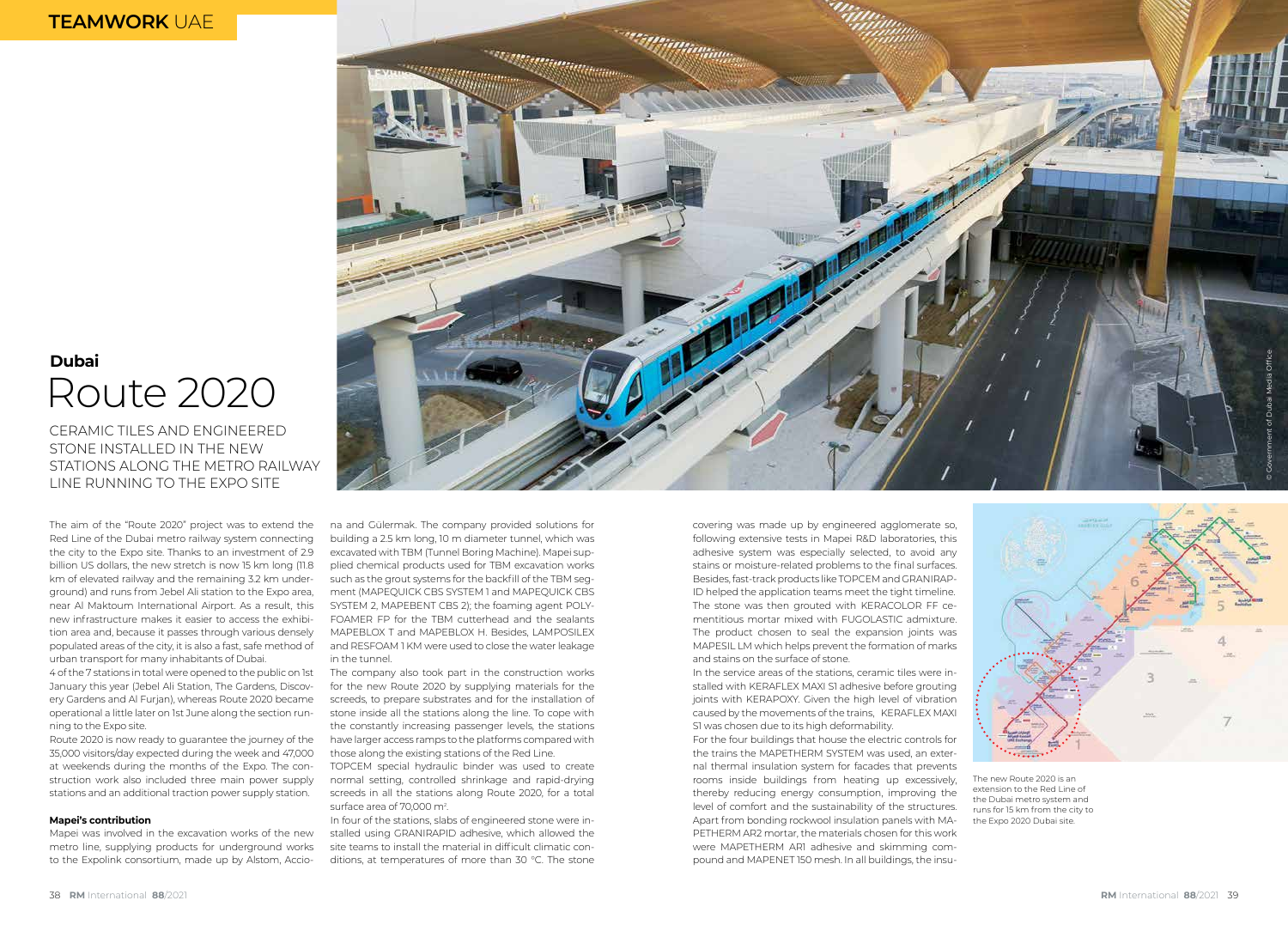## **TEAMWORK** UAE

# Route 2020 **Dubai**

CERAMIC TILES AND ENGINEERED STONE INSTALLED IN THE NEW STATIONS ALONG THE METRO RAILWAY LINE RUNNING TO THE EXPO SITE

The aim of the "Route 2020" project was to extend the Red Line of the Dubai metro railway system connecting the city to the Expo site. Thanks to an investment of 2.9 billion US dollars, the new stretch is now 15 km long (11.8 km of elevated railway and the remaining 3.2 km underground) and runs from Jebel Ali station to the Expo area, near Al Maktoum International Airport. As a result, this new infrastructure makes it easier to access the exhibition area and, because it passes through various densely populated areas of the city, it is also a fast, safe method of urban transport for many inhabitants of Dubai.

4 of the 7 stations in total were opened to the public on 1st January this year (Jebel Ali Station, The Gardens, Discovery Gardens and Al Furjan), whereas Route 2020 became operational a little later on 1st June along the section running to the Expo site.

Route 2020 is now ready to guarantee the journey of the 35,000 visitors/day expected during the week and 47,000 at weekends during the months of the Expo. The construction work also included three main power supply stations and an additional traction power supply station.

#### **Mapei's contribution**

Mapei was involved in the excavation works of the new metro line, supplying products for underground works to the Expolink consortium, made up by Alstom, Accio-



na and Gülermak. The company provided solutions for building a 2.5 km long, 10 m diameter tunnel, which was excavated with TBM (Tunnel Boring Machine). Mapei supplied chemical products used for TBM excavation works such as the grout systems for the backfill of the TBM segment (MAPEQUICK CBS SYSTEM 1 and MAPEQUICK CBS SYSTEM 2, MAPEBENT CBS 2); the foaming agent POLY-FOAMER FP for the TBM cutterhead and the sealants MAPEBLOX T and MAPEBLOX H. Besides, LAMPOSILEX and RESFOAM 1 KM were used to close the water leakage in the tunnel.

The company also took part in the construction works for the new Route 2020 by supplying materials for the screeds, to prepare substrates and for the installation of stone inside all the stations along the line. To cope with the constantly increasing passenger levels, the stations have larger access ramps to the platforms compared with those along the existing stations of the Red Line.

TOPCEM special hydraulic binder was used to create normal setting, controlled shrinkage and rapid-drying screeds in all the stations along Route 2020, for a total surface area of 70,000 m<sup>2</sup>.

In four of the stations, slabs of engineered stone were installed using GRANIRAPID adhesive, which allowed the site teams to install the material in difficult climatic conditions, at temperatures of more than 30 °C. The stone covering was made up by engineered agglomerate so, following extensive tests in Mapei R&D laboratories, this adhesive system was especially selected, to avoid any stains or moisture-related problems to the final surfaces. Besides, fast-track products like TOPCEM and GRANIRAP-ID helped the application teams meet the tight timeline. The stone was then grouted with KERACOLOR FF cementitious mortar mixed with FUGOLASTIC admixture. The product chosen to seal the expansion joints was MAPESIL LM which helps prevent the formation of marks and stains on the surface of stone.

In the service areas of the stations, ceramic tiles were installed with KERAFLEX MAXI S1 adhesive before grouting joints with KERAPOXY. Given the high level of vibration caused by the movements of the trains, KERAFLEX MAXI S1 was chosen due to its high deformability.

For the four buildings that house the electric controls for the trains the MAPETHERM SYSTEM was used, an external thermal insulation system for facades that prevents rooms inside buildings from heating up excessively, thereby reducing energy consumption, improving the level of comfort and the sustainability of the structures. Apart from bonding rockwool insulation panels with MA-PETHERM AR2 mortar, the materials chosen for this work were MAPETHERM AR1 adhesive and skimming compound and MAPENET 150 mesh. In all buildings, the insu-



The new Route 2020 is an extension to the Red Line of the Dubai metro system and runs for 15 km from the city to the Expo 2020 Dubai site.